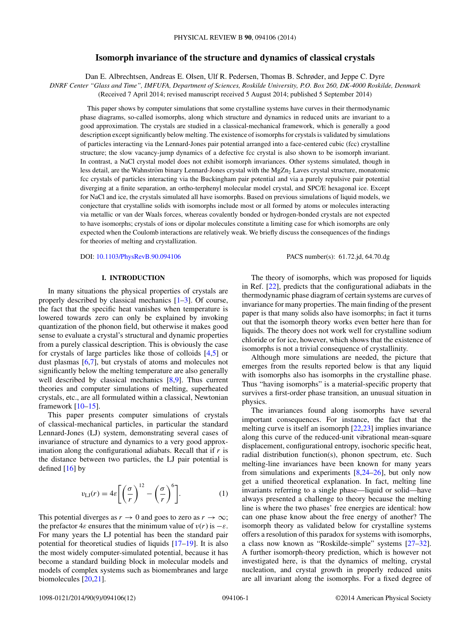# **Isomorph invariance of the structure and dynamics of classical crystals**

Dan E. Albrechtsen, Andreas E. Olsen, Ulf R. Pedersen, Thomas B. Schrøder, and Jeppe C. Dyre

*DNRF Center "Glass and Time", IMFUFA, Department of Sciences, Roskilde University, P.O. Box 260, DK-4000 Roskilde, Denmark*

(Received 7 April 2014; revised manuscript received 5 August 2014; published 5 September 2014)

This paper shows by computer simulations that some crystalline systems have curves in their thermodynamic phase diagrams, so-called isomorphs, along which structure and dynamics in reduced units are invariant to a good approximation. The crystals are studied in a classical-mechanical framework, which is generally a good description except significantly below melting. The existence of isomorphs for crystals is validated by simulations of particles interacting via the Lennard-Jones pair potential arranged into a face-centered cubic (fcc) crystalline structure; the slow vacancy-jump dynamics of a defective fcc crystal is also shown to be isomorph invariant. In contrast, a NaCl crystal model does not exhibit isomorph invariances. Other systems simulated, though in less detail, are the Wahnström binary Lennard-Jones crystal with the MgZn<sub>2</sub> Laves crystal structure, monatomic fcc crystals of particles interacting via the Buckingham pair potential and via a purely repulsive pair potential diverging at a finite separation, an ortho-terphenyl molecular model crystal, and SPC/E hexagonal ice. Except for NaCl and ice, the crystals simulated all have isomorphs. Based on previous simulations of liquid models, we conjecture that crystalline solids with isomorphs include most or all formed by atoms or molecules interacting via metallic or van der Waals forces, whereas covalently bonded or hydrogen-bonded crystals are not expected to have isomorphs; crystals of ions or dipolar molecules constitute a limiting case for which isomorphs are only expected when the Coulomb interactions are relatively weak. We briefly discuss the consequences of the findings for theories of melting and crystallization.

DOI: [10.1103/PhysRevB.90.094106](http://dx.doi.org/10.1103/PhysRevB.90.094106) PACS number(s): 61*.*72*.*jd*,* 64*.*70*.*dg

#### **I. INTRODUCTION**

In many situations the physical properties of crystals are properly described by classical mechanics [\[1–3\]](#page-10-0). Of course, the fact that the specific heat vanishes when temperature is lowered towards zero can only be explained by invoking quantization of the phonon field, but otherwise it makes good sense to evaluate a crystal's structural and dynamic properties from a purely classical description. This is obviously the case for crystals of large particles like those of colloids [\[4,5\]](#page-10-0) or dust plasmas [\[6,7\]](#page-10-0), but crystals of atoms and molecules not significantly below the melting temperature are also generally well described by classical mechanics [\[8,9\]](#page-10-0). Thus current theories and computer simulations of melting, superheated crystals, etc., are all formulated within a classical, Newtonian framework  $[10-15]$ .

This paper presents computer simulations of crystals of classical-mechanical particles, in particular the standard Lennard-Jones (LJ) system, demonstrating several cases of invariance of structure and dynamics to a very good approximation along the configurational adiabats. Recall that if *r* is the distance between two particles, the LJ pair potential is defined [\[16\]](#page-10-0) by

$$
v_{\text{LJ}}(r) = 4\varepsilon \left[ \left( \frac{\sigma}{r} \right)^{12} - \left( \frac{\sigma}{r} \right)^{6} \right].
$$
 (1)

This potential diverges as  $r \to 0$  and goes to zero as  $r \to \infty$ ; the prefactor  $4\varepsilon$  ensures that the minimum value of  $v(r)$  is  $-\varepsilon$ . For many years the LJ potential has been the standard pair potential for theoretical studies of liquids [\[17–19\]](#page-10-0). It is also the most widely computer-simulated potential, because it has become a standard building block in molecular models and models of complex systems such as biomembranes and large biomolecules [\[20,21\]](#page-10-0).

The theory of isomorphs, which was proposed for liquids in Ref. [\[22\]](#page-10-0), predicts that the configurational adiabats in the thermodynamic phase diagram of certain systems are curves of invariance for many properties. The main finding of the present paper is that many solids also have isomorphs; in fact it turns out that the isomorph theory works even better here than for liquids. The theory does not work well for crystalline sodium chloride or for ice, however, which shows that the existence of isomorphs is not a trivial consequence of crystallinity.

Although more simulations are needed, the picture that emerges from the results reported below is that any liquid with isomorphs also has isomorphs in the crystalline phase. Thus "having isomorphs" is a material-specific property that survives a first-order phase transition, an unusual situation in physics.

The invariances found along isomorphs have several important consequences. For instance, the fact that the melting curve is itself an isomorph [\[22,23\]](#page-10-0) implies invariance along this curve of the reduced-unit vibrational mean-square displacement, configurational entropy, isochoric specific heat, radial distribution function(s), phonon spectrum, etc. Such melting-line invariances have been known for many years from simulations and experiments [\[8,24](#page-10-0)[–26\]](#page-11-0), but only now get a unified theoretical explanation. In fact, melting line invariants referring to a single phase—liquid or solid—have always presented a challenge to theory because the melting line is where the two phases' free energies are identical: how can one phase know about the free energy of another? The isomorph theory as validated below for crystalline systems offers a resolution of this paradox for systems with isomorphs, a class now known as "Roskilde-simple" systems [\[27–32\]](#page-11-0). A further isomorph-theory prediction, which is however not investigated here, is that the dynamics of melting, crystal nucleation, and crystal growth in properly reduced units are all invariant along the isomorphs. For a fixed degree of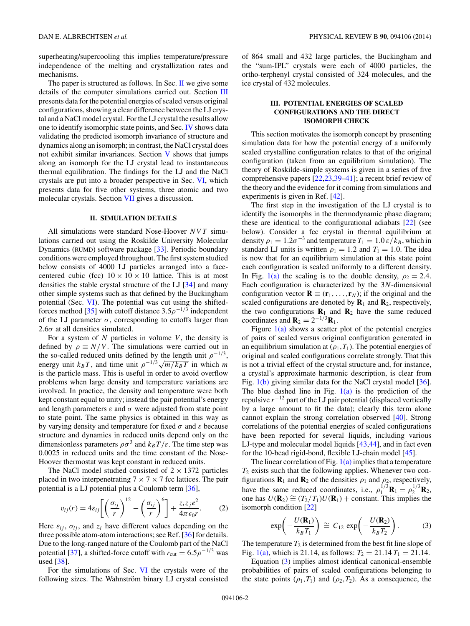<span id="page-1-0"></span>superheating/supercooling this implies temperature/pressure independence of the melting and crystallization rates and mechanisms.

The paper is structured as follows. In Sec.  $\mathbf{H}$  we give some details of the computer simulations carried out. Section III presents data for the potential energies of scaled versus original configurations, showing a clear difference between the LJ crystal and a NaCl model crystal. For the LJ crystal the results allow one to identify isomorphic state points, and Sec. [IV](#page-3-0) shows data validating the predicted isomorph invariance of structure and dynamics along an isomorph; in contrast, the NaCl crystal does not exhibit similar invariances. Section  $V$  shows that jumps along an isomorph for the LJ crystal lead to instantaneous thermal equilibration. The findings for the LJ and the NaCl crystals are put into a broader perspective in Sec. [VI,](#page-6-0) which presents data for five other systems, three atomic and two molecular crystals. Section [VII](#page-8-0) gives a discussion.

#### **II. SIMULATION DETAILS**

All simulations were standard Nose-Hoover *NVT* simulations carried out using the Roskilde University Molecular Dynamics (RUMD) software package [\[33\]](#page-11-0). Periodic boundary conditions were employed throughout. The first system studied below consists of 4000 LJ particles arranged into a facecentered cubic (fcc)  $10 \times 10 \times 10$  lattice. This is at most densities the stable crystal structure of the LJ [\[34\]](#page-11-0) and many other simple systems such as that defined by the Buckingham potential (Sec. [VI\)](#page-6-0). The potential was cut using the shifted-forces method [\[35\]](#page-11-0) with cutoff distance  $3.5\rho^{-1/3}$  independent of the LJ parameter  $\sigma$ , corresponding to cutoffs larger than 2*.*6*σ* at all densities simulated.

For a system of *N* particles in volume *V*, the density is defined by  $\rho \equiv N/V$ . The simulations were carried out in the so-called reduced units defined by the length unit  $\rho^{-1/3}$ , energy unit  $k_B T$ , and time unit  $\rho^{-1/3} \sqrt{m/k_B T}$  in which *m* is the particle mass. This is useful in order to avoid overflow problems when large density and temperature variations are involved. In practice, the density and temperature were both kept constant equal to unity; instead the pair potential's energy and length parameters  $\varepsilon$  and  $\sigma$  were adjusted from state point to state point. The same physics is obtained in this way as by varying density and temperature for fixed *σ* and *ε* because structure and dynamics in reduced units depend only on the dimensionless parameters  $\rho \sigma^3$  and  $k_B T / \varepsilon$ . The time step was 0.0025 in reduced units and the time constant of the Nose-Hoover thermostat was kept constant in reduced units.

The NaCl model studied consisted of  $2 \times 1372$  particles placed in two interpenetrating  $7 \times 7 \times 7$  fcc lattices. The pair potential is a LJ potential plus a Coulomb term [\[36\]](#page-11-0),

$$
v_{ij}(r) = 4\varepsilon_{ij} \left[ \left( \frac{\sigma_{ij}}{r} \right)^{12} - \left( \frac{\sigma_{ij}}{r} \right)^6 \right] + \frac{z_i z_j e^2}{4\pi \epsilon_0 r}.
$$
 (2)

Here  $\varepsilon_{ij}$ ,  $\sigma_{ij}$ , and  $z_i$  have different values depending on the three possible atom-atom interactions; see Ref. [\[36\]](#page-11-0) for details. Due to the long-ranged nature of the Coulomb part of the NaCl potential [\[37\]](#page-11-0), a shifted-force cutoff with  $r_{\text{cut}} = 6.5\rho^{-1/3}$  was used [\[38\]](#page-11-0).

For the simulations of Sec. [VI](#page-6-0) the crystals were of the following sizes. The Wahnström binary LJ crystal consisted of 864 small and 432 large particles, the Buckingham and the "sum-IPL" crystals were each of 4000 particles, the ortho-terphenyl crystal consisted of 324 molecules, and the ice crystal of 432 molecules.

# **III. POTENTIAL ENERGIES OF SCALED CONFIGURATIONS AND THE DIRECT ISOMORPH CHECK**

This section motivates the isomorph concept by presenting simulation data for how the potential energy of a uniformly scaled crystalline configuration relates to that of the original configuration (taken from an equilibrium simulation). The theory of Roskilde-simple systems is given in a series of five comprehensive papers [\[22,23,](#page-10-0)[39–41\]](#page-11-0); a recent brief review of the theory and the evidence for it coming from simulations and experiments is given in Ref. [\[42\]](#page-11-0).

The first step in the investigation of the LJ crystal is to identify the isomorphs in the thermodynamic phase diagram; these are identical to the configurational adiabats [\[22\]](#page-10-0) (see below). Consider a fcc crystal in thermal equilibrium at density  $\rho_1 = 1.2\sigma^{-3}$  and temperature  $T_1 = 1.0 \,\varepsilon / k_B$ , which in standard LJ units is written  $\rho_1 = 1.2$  and  $T_1 = 1.0$ . The idea is now that for an equilibrium simulation at this state point each configuration is scaled uniformly to a different density. In Fig. [1\(a\)](#page-2-0) the scaling is to the double density,  $\rho_2 = 2.4$ . Each configuration is characterized by the 3*N*-dimensional configuration vector  $\mathbf{R} \equiv (\mathbf{r}_1, \dots, \mathbf{r}_N)$ ; if the original and the scaled configurations are denoted by  $\mathbf{R}_1$  and  $\mathbf{R}_2$ , respectively, the two configurations  $\mathbf{R}_1$  and  $\mathbf{R}_2$  have the same reduced coordinates and  $\mathbf{R}_2 = 2^{-1/3} \mathbf{R}_1$ .

Figure  $1(a)$  shows a scatter plot of the potential energies of pairs of scaled versus original configuration generated in an equilibrium simulation at  $(\rho_1, T_1)$ . The potential energies of original and scaled configurations correlate strongly. That this is not a trivial effect of the crystal structure and, for instance, a crystal's approximate harmonic description, is clear from Fig. [1\(b\)](#page-2-0) giving similar data for the NaCl crystal model [\[36\]](#page-11-0). The blue dashed line in Fig.  $1(a)$  is the prediction of the repulsive *r*−<sup>12</sup> part of the LJ pair potential (displaced vertically by a large amount to fit the data); clearly this term alone cannot explain the strong correlation observed [\[40\]](#page-11-0). Strong correlations of the potential energies of scaled configurations have been reported for several liquids, including various LJ-type and molecular model liquids [\[43,44\]](#page-11-0), and in fact even for the 10-bead rigid-bond, flexible LJ-chain model [\[45\]](#page-11-0).

The linear correlation of Fig.  $1(a)$  implies that a temperature *T*<sup>2</sup> exists such that the following applies. Whenever two configurations  $\mathbf{R}_1$  and  $\mathbf{R}_2$  of the densities  $\rho_1$  and  $\rho_2$ , respectively, have the same reduced coordinates, i.e.,  $\rho_1^{1/3}$ **R**<sub>1</sub> =  $\rho_2^{1/3}$ **R**<sub>2</sub>, one has  $U(\mathbf{R}_2) \cong (T_2/T_1)U(\mathbf{R}_1) + \text{constant}$ . This implies the isomorph condition [\[22\]](#page-10-0)

$$
\exp\left(-\frac{U(\mathbf{R}_1)}{k_B T_1}\right) \cong C_{12} \exp\left(-\frac{U(\mathbf{R}_2)}{k_B T_2}\right). \tag{3}
$$

The temperature  $T_2$  is determined from the best fit line slope of Fig. [1\(a\),](#page-2-0) which is 21.14, as follows:  $T_2 = 21.14 T_1 = 21.14$ .

Equation (3) implies almost identical canonical-ensemble probabilities of pairs of scaled configurations belonging to the state points  $(\rho_1, T_1)$  and  $(\rho_2, T_2)$ . As a consequence, the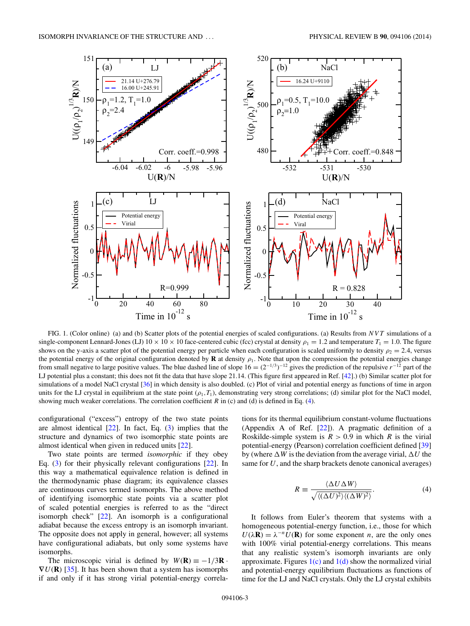<span id="page-2-0"></span>

FIG. 1. (Color online) (a) and (b) Scatter plots of the potential energies of scaled configurations. (a) Results from *NVT* simulations of a single-component Lennard-Jones (LJ)  $10 \times 10 \times 10$  face-centered cubic (fcc) crystal at density  $\rho_1 = 1.2$  and temperature  $T_1 = 1.0$ . The figure shows on the y-axis a scatter plot of the potential energy per particle when each configuration is scaled uniformly to density  $\rho_2 = 2.4$ , versus the potential energy of the original configuration denoted by **R** at density  $\rho_1$ . Note that upon the compression the potential energies change from small negative to large positive values. The blue dashed line of slope  $16 = (2^{-1/3})^{-12}$  gives the prediction of the repulsive  $r^{-12}$  part of the LJ potential plus a constant; this does not fit the data that have slope 21.14. (This figure first appeared in Ref. [\[42\]](#page-11-0).) (b) Similar scatter plot for simulations of a model NaCl crystal [\[36\]](#page-11-0) in which density is also doubled. (c) Plot of virial and potential energy as functions of time in argon units for the LJ crystal in equilibrium at the state point  $(\rho_1, T_1)$ , demonstrating very strong correlations; (d) similar plot for the NaCl model, showing much weaker correlations. The correlation coefficient *R* in (c) and (d) is defined in Eq. (4).

configurational ("excess") entropy of the two state points are almost identical  $[22]$ . In fact, Eq.  $(3)$  implies that the structure and dynamics of two isomorphic state points are almost identical when given in reduced units [\[22\]](#page-10-0).

Two state points are termed *isomorphic* if they obey Eq. [\(3\)](#page-1-0) for their physically relevant configurations [\[22\]](#page-10-0). In this way a mathematical equivalence relation is defined in the thermodynamic phase diagram; its equivalence classes are continuous curves termed isomorphs. The above method of identifying isomorphic state points via a scatter plot of scaled potential energies is referred to as the "direct isomorph check" [\[22\]](#page-10-0). An isomorph is a configurational adiabat because the excess entropy is an isomorph invariant. The opposite does not apply in general, however; all systems have configurational adiabats, but only some systems have isomorphs.

The microscopic virial is defined by  $W(\mathbf{R}) \equiv -1/3\mathbf{R}$ .  $\nabla U(\mathbf{R})$  [\[35\]](#page-11-0). It has been shown that a system has isomorphs if and only if it has strong virial potential-energy correlations for its thermal equilibrium constant-volume fluctuations (Appendix A of Ref. [\[22\]](#page-10-0)). A pragmatic definition of a Roskilde-simple system is  $R > 0.9$  in which *R* is the virial potential-energy (Pearson) correlation coefficient defined [\[39\]](#page-11-0) by (where  $\Delta W$  is the deviation from the average virial,  $\Delta U$  the same for *U*, and the sharp brackets denote canonical averages)

$$
R \equiv \frac{\langle \Delta U \Delta W \rangle}{\sqrt{\langle (\Delta U)^2 \rangle \langle (\Delta W)^2 \rangle}}.
$$
 (4)

It follows from Euler's theorem that systems with a homogeneous potential-energy function, i.e., those for which  $U(\lambda \mathbf{R}) = \lambda^{-n} U(\mathbf{R})$  for some exponent *n*, are the only ones with 100% virial potential-energy correlations. This means that any realistic system's isomorph invariants are only approximate. Figures  $1(c)$  and  $1(d)$  show the normalized virial and potential-energy equilibrium fluctuations as functions of time for the LJ and NaCl crystals. Only the LJ crystal exhibits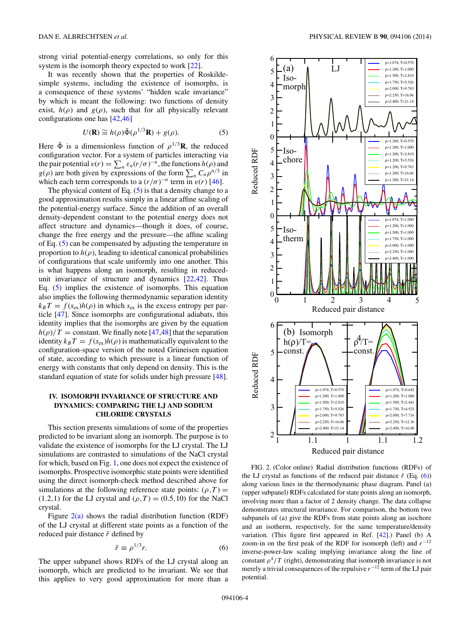<span id="page-3-0"></span>strong virial potential-energy correlations, so only for this system is the isomorph theory expected to work [\[22\]](#page-10-0).

It was recently shown that the properties of Roskildesimple systems, including the existence of isomorphs, is a consequence of these systems' "hidden scale invariance" by which is meant the following: two functions of density exist,  $h(\rho)$  and  $g(\rho)$ , such that for all physically relevant configurations one has [\[42,46\]](#page-11-0)

$$
U(\mathbf{R}) \cong h(\rho)\tilde{\Phi}(\rho^{1/3}\mathbf{R}) + g(\rho). \tag{5}
$$

Here  $\tilde{\Phi}$  is a dimensionless function of  $\rho^{1/3}$ **R**, the reduced configuration vector. For a system of particles interacting via the pair potential  $v(r) = \sum_n \varepsilon_n (r/\sigma)^{-n}$ , the functions  $h(\rho)$  and  $g(\rho)$  are both given by expressions of the form  $\sum_{n} C_n \rho^{n/3}$  in which each term corresponds to a  $(r/\sigma)^{-n}$  term in  $v(r)$  [\[46\]](#page-11-0).

The physical content of Eq.  $(5)$  is that a density change to a good approximation results simply in a linear affine scaling of the potential-energy surface. Since the addition of an overall density-dependent constant to the potential energy does not affect structure and dynamics—though it does, of course, change the free energy and the pressure—the affine scaling of Eq. (5) can be compensated by adjusting the temperature in proportion to  $h(\rho)$ , leading to identical canonical probabilities of configurations that scale uniformly into one another. This is what happens along an isomorph, resulting in reducedunit invariance of structure and dynamics [\[22](#page-10-0)[,42\]](#page-11-0). Thus Eq. (5) implies the existence of isomorphs. This equation also implies the following thermodynamic separation identity  $k_B T = f(s_{ex})h(\rho)$  in which  $s_{ex}$  is the excess entropy per particle [\[47\]](#page-11-0). Since isomorphs are configurational adiabats, this identity implies that the isomorphs are given by the equation  $h(\rho)/T =$  constant. We finally note [\[47,48\]](#page-11-0) that the separation identity  $k_B T = f(s_{ex})h(\rho)$  is mathematically equivalent to the configuration-space version of the noted Grüneisen equation of state, according to which pressure is a linear function of energy with constants that only depend on density. This is the standard equation of state for solids under high pressure [\[48\]](#page-11-0).

# **IV. ISOMORPH INVARIANCE OF STRUCTURE AND DYNAMICS: COMPARING THE LJ AND SODIUM CHLORIDE CRYSTALS**

This section presents simulations of some of the properties predicted to be invariant along an isomorph. The purpose is to validate the existence of isomorphs for the LJ crystal. The LJ simulations are contrasted to simulations of the NaCl crystal for which, based on Fig. [1,](#page-2-0) one does not expect the existence of isomorphs. Prospective isomorphic state points were identified using the direct isomorph-check method described above for simulations at the following reference state points:  $(\rho, T)$  =  $(1.2,1)$  for the LJ crystal and  $(\rho, T) = (0.5,10)$  for the NaCl crystal.

Figure  $2(a)$  shows the radial distribution function (RDF) of the LJ crystal at different state points as a function of the reduced pair distance  $\tilde{r}$  defined by

$$
\tilde{r} \equiv \rho^{1/3} r. \tag{6}
$$

The upper subpanel shows RDFs of the LJ crystal along an isomorph, which are predicted to be invariant. We see that this applies to very good approximation for more than a



FIG. 2. (Color online) Radial distribution functions (RDFs) of the LJ crystal as functions of the reduced pair distance  $\tilde{r}$  (Eq. (6)) along various lines in the thermodynamic phase diagram. Panel (a) (upper subpanel) RDFs calculated for state points along an isomorph, involving more than a factor of 2 density change. The data collapse demonstrates structural invariance. For comparison, the bottom two subpanels of (a) give the RDFs from state points along an isochore and an isotherm, respectively, for the same temperature/density variation. (This figure first appeared in Ref. [\[42\]](#page-11-0).) Panel (b) A zoom-in on the first peak of the RDF for isomorph (left) and *r*−<sup>12</sup> inverse-power-law scaling implying invariance along the line of constant  $\rho^4/T$  (right), demonstrating that isomorph invariance is not merely a trivial consequences of the repulsive  $r^{-12}$  term of the LJ pair potential.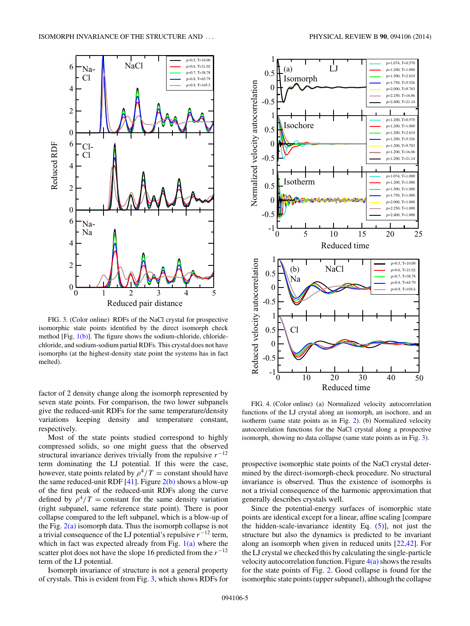<span id="page-4-0"></span>

FIG. 3. (Color online) RDFs of the NaCl crystal for prospective isomorphic state points identified by the direct isomorph check method [Fig.  $1(b)$ ]. The figure shows the sodium-chloride, chloridechloride, and sodium-sodium partial RDFs. This crystal does not have isomorphs (at the highest-density state point the systems has in fact melted).

factor of 2 density change along the isomorph represented by seven state points. For comparison, the two lower subpanels give the reduced-unit RDFs for the same temperature/density variations keeping density and temperature constant, respectively.

Most of the state points studied correspond to highly compressed solids, so one might guess that the observed structural invariance derives trivially from the repulsive *r*−<sup>12</sup> term dominating the LJ potential. If this were the case, however, state points related by  $\rho^4/T =$  constant should have the same reduced-unit RDF  $[41]$ . Figure  $2(b)$  shows a blow-up of the first peak of the reduced-unit RDFs along the curve defined by  $\rho^4/T =$  constant for the same density variation (right subpanel, same reference state point). There is poor collapse compared to the left subpanel, which is a blow-up of the Fig.  $2(a)$  isomorph data. Thus the isomorph collapse is not a trivial consequence of the LJ potential's repulsive *r*−<sup>12</sup> term, which in fact was expected already from Fig.  $1(a)$  where the scatter plot does not have the slope 16 predicted from the *r*−<sup>12</sup> term of the LJ potential.

Isomorph invariance of structure is not a general property of crystals. This is evident from Fig. 3, which shows RDFs for



FIG. 4. (Color online) (a) Normalized velocity autocorrelation functions of the LJ crystal along an isomorph, an isochore, and an isotherm (same state points as in Fig. [2\)](#page-3-0). (b) Normalized velocity autocorrelation functions for the NaCl crystal along a prospective isomorph, showing no data collapse (same state points as in Fig. 3).

prospective isomorphic state points of the NaCl crystal determined by the direct-isomorph-check procedure. No structural invariance is observed. Thus the existence of isomorphs is not a trivial consequence of the harmonic approximation that generally describes crystals well.

Since the potential-energy surfaces of isomorphic state points are identical except for a linear, affine scaling [compare the hidden-scale-invariance identity Eq.  $(5)$ ], not just the structure but also the dynamics is predicted to be invariant along an isomorph when given in reduced units [\[22](#page-10-0)[,42\]](#page-11-0). For the LJ crystal we checked this by calculating the single-particle velocity autocorrelation function. Figure  $4(a)$  shows the results for the state points of Fig. [2.](#page-3-0) Good collapse is found for the isomorphic state points (upper subpanel), although the collapse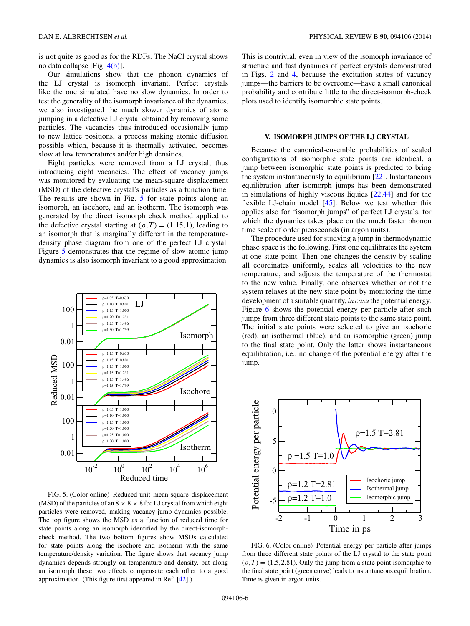<span id="page-5-0"></span>is not quite as good as for the RDFs. The NaCl crystal shows no data collapse [Fig. [4\(b\)\]](#page-4-0).

Our simulations show that the phonon dynamics of the LJ crystal is isomorph invariant. Perfect crystals like the one simulated have no slow dynamics. In order to test the generality of the isomorph invariance of the dynamics, we also investigated the much slower dynamics of atoms jumping in a defective LJ crystal obtained by removing some particles. The vacancies thus introduced occasionally jump to new lattice positions, a process making atomic diffusion possible which, because it is thermally activated, becomes slow at low temperatures and/or high densities.

Eight particles were removed from a LJ crystal, thus introducing eight vacancies. The effect of vacancy jumps was monitored by evaluating the mean-square displacement (MSD) of the defective crystal's particles as a function time. The results are shown in Fig. 5 for state points along an isomorph, an isochore, and an isotherm. The isomorph was generated by the direct isomorph check method applied to the defective crystal starting at  $(\rho, T) = (1.15, 1)$ , leading to an isomorph that is marginally different in the temperaturedensity phase diagram from one of the perfect LJ crystal. Figure 5 demonstrates that the regime of slow atomic jump dynamics is also isomorph invariant to a good approximation.



FIG. 5. (Color online) Reduced-unit mean-square displacement (MSD) of the particles of an  $8 \times 8 \times 8$  fcc LJ crystal from which eight particles were removed, making vacancy-jump dynamics possible. The top figure shows the MSD as a function of reduced time for state points along an isomorph identified by the direct-isomorphcheck method. The two bottom figures show MSDs calculated for state points along the isochore and isotherm with the same temperature/density variation. The figure shows that vacancy jump dynamics depends strongly on temperature and density, but along an isomorph these two effects compensate each other to a good approximation. (This figure first appeared in Ref. [\[42\]](#page-11-0).)

This is nontrivial, even in view of the isomorph invariance of structure and fast dynamics of perfect crystals demonstrated in Figs. [2](#page-3-0) and [4,](#page-4-0) because the excitation states of vacancy jumps—the barriers to be overcome—have a small canonical probability and contribute little to the direct-isomorph-check plots used to identify isomorphic state points.

#### **V. ISOMORPH JUMPS OF THE LJ CRYSTAL**

Because the canonical-ensemble probabilities of scaled configurations of isomorphic state points are identical, a jump between isomorphic state points is predicted to bring the system instantaneously to equilibrium [\[22\]](#page-10-0). Instantaneous equilibration after isomorph jumps has been demonstrated in simulations of highly viscous liquids [\[22,](#page-10-0)[44\]](#page-11-0) and for the flexible LJ-chain model [\[45\]](#page-11-0). Below we test whether this applies also for "isomorph jumps" of perfect LJ crystals, for which the dynamics takes place on the much faster phonon time scale of order picoseconds (in argon units).

The procedure used for studying a jump in thermodynamic phase space is the following. First one equilibrates the system at one state point. Then one changes the density by scaling all coordinates uniformly, scales all velocities to the new temperature, and adjusts the temperature of the thermostat to the new value. Finally, one observes whether or not the system relaxes at the new state point by monitoring the time development of a suitable quantity, *in casu* the potential energy. Figure 6 shows the potential energy per particle after such jumps from three different state points to the same state point. The initial state points were selected to give an isochoric (red), an isothermal (blue), and an isomorphic (green) jump to the final state point. Only the latter shows instantaneous equilibration, i.e., no change of the potential energy after the jump.



FIG. 6. (Color online) Potential energy per particle after jumps from three different state points of the LJ crystal to the state point  $(\rho, T) = (1.5, 2.81)$ . Only the jump from a state point isomorphic to the final state point (green curve) leads to instantaneous equilibration. Time is given in argon units.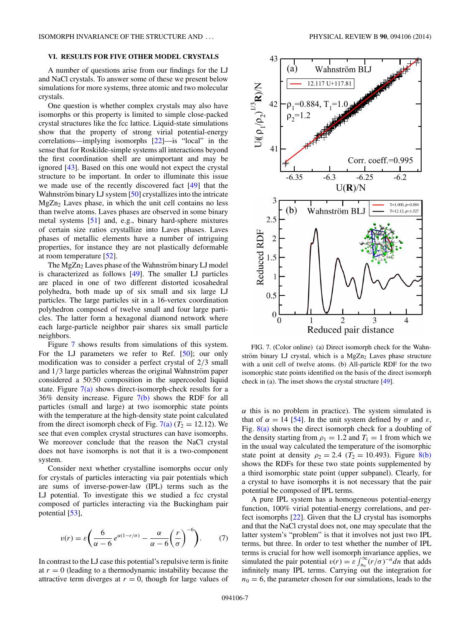## <span id="page-6-0"></span>**VI. RESULTS FOR FIVE OTHER MODEL CRYSTALS**

A number of questions arise from our findings for the LJ and NaCl crystals. To answer some of these we present below simulations for more systems, three atomic and two molecular crystals.

One question is whether complex crystals may also have isomorphs or this property is limited to simple close-packed crystal structures like the fcc lattice. Liquid-state simulations show that the property of strong virial potential-energy correlations—implying isomorphs [\[22\]](#page-10-0)—is "local" in the sense that for Roskilde-simple systems all interactions beyond the first coordination shell are unimportant and may be ignored [\[43\]](#page-11-0). Based on this one would not expect the crystal structure to be important. In order to illuminate this issue we made use of the recently discovered fact [\[49\]](#page-11-0) that the Wahnström binary LJ system  $[50]$  $[50]$  crystallizes into the intricate MgZn2 Laves phase, in which the unit cell contains no less than twelve atoms. Laves phases are observed in some binary metal systems [\[51\]](#page-11-0) and, e.g., binary hard-sphere mixtures of certain size ratios crystallize into Laves phases. Laves phases of metallic elements have a number of intriguing properties, for instance they are not plastically deformable at room temperature [\[52\]](#page-11-0).

The  $MgZn<sub>2</sub>$  Laves phase of the Wahnström binary LJ model is characterized as follows [\[49\]](#page-11-0). The smaller LJ particles are placed in one of two different distorted icosahedral polyhedra, both made up of six small and six large LJ particles. The large particles sit in a 16-vertex coordination polyhedron composed of twelve small and four large particles. The latter form a hexagonal diamond network where each large-particle neighbor pair shares six small particle neighbors.

Figure 7 shows results from simulations of this system. For the LJ parameters we refer to Ref. [\[50\]](#page-11-0); our only modification was to consider a perfect crystal of 2*/*3 small and  $1/3$  large particles whereas the original Wahnstrom paper considered a 50:50 composition in the supercooled liquid state. Figure  $7(a)$  shows direct-isomorph-check results for a 36% density increase. Figure 7(b) shows the RDF for all particles (small and large) at two isomorphic state points with the temperature at the high-density state point calculated from the direct isomorph check of Fig.  $7(a)$  ( $T_2 = 12.12$ ). We see that even complex crystal structures can have isomorphs. We moreover conclude that the reason the NaCl crystal does not have isomorphs is not that it is a two-component system.

Consider next whether crystalline isomorphs occur only for crystals of particles interacting via pair potentials which are sums of inverse-power-law (IPL) terms such as the LJ potential. To investigate this we studied a fcc crystal composed of particles interacting via the Buckingham pair potential [\[53\]](#page-11-0),

$$
v(r) = \varepsilon \left( \frac{6}{\alpha - 6} e^{\alpha (1 - r/\sigma)} - \frac{\alpha}{\alpha - 6} \left( \frac{r}{\sigma} \right)^{-6} \right). \tag{7}
$$

In contrast to the LJ case this potential's repulsive term is finite at  $r = 0$  (leading to a thermodynamic instability because the attractive term diverges at  $r = 0$ , though for large values of



FIG. 7. (Color online) (a) Direct isomorph check for the Wahnström binary LJ crystal, which is a  $MgZn<sub>2</sub>$  Laves phase structure with a unit cell of twelve atoms. (b) All-particle RDF for the two isomorphic state points identified on the basis of the direct isomorph check in (a). The inset shows the crystal structure [\[49\]](#page-11-0).

 $\alpha$  this is no problem in practice). The system simulated is that of  $\alpha = 14$  [\[54\]](#page-11-0). In the unit system defined by  $\sigma$  and  $\varepsilon$ , Fig. [8\(a\)](#page-7-0) shows the direct isomorph check for a doubling of the density starting from  $\rho_1 = 1.2$  and  $T_1 = 1$  from which we in the usual way calculated the temperature of the isomorphic state point at density  $\rho_2 = 2.4$  ( $T_2 = 10.493$ ). Figure [8\(b\)](#page-7-0) shows the RDFs for these two state points supplemented by a third isomorphic state point (upper subpanel). Clearly, for a crystal to have isomorphs it is not necessary that the pair potential be composed of IPL terms.

A pure IPL system has a homogeneous potential-energy function, 100% virial potential-energy correlations, and perfect isomorphs [\[22\]](#page-10-0). Given that the LJ crystal has isomorphs and that the NaCl crystal does not, one may speculate that the latter system's "problem" is that it involves not just two IPL terms, but three. In order to test whether the number of IPL terms is crucial for how well isomorph invariance applies, we simulated the pair potential  $v(r) = \varepsilon \int_{n_0}^{\infty} (r/\sigma)^{-n} dn$  that adds infinitely many IPL terms. Carrying out the integration for  $n_0 = 6$ , the parameter chosen for our simulations, leads to the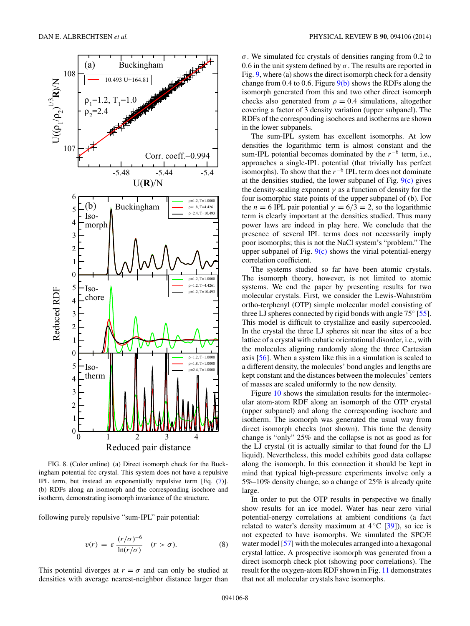<span id="page-7-0"></span>

FIG. 8. (Color online) (a) Direct isomorph check for the Buckingham potential fcc crystal. This system does not have a repulsive IPL term, but instead an exponentially repulsive term [Eq. [\(7\)](#page-6-0)]. (b) RDFs along an isomorph and the corresponding isochore and isotherm, demonstrating isomorph invariance of the structure.

following purely repulsive "sum-IPL" pair potential:

$$
v(r) = \varepsilon \, \frac{(r/\sigma)^{-6}}{\ln(r/\sigma)} \quad (r > \sigma). \tag{8}
$$

This potential diverges at  $r = \sigma$  and can only be studied at densities with average nearest-neighbor distance larger than *σ*. We simulated fcc crystals of densities ranging from 0*.*2 to 0.6 in the unit system defined by  $\sigma$ . The results are reported in Fig. [9,](#page-8-0) where (a) shows the direct isomorph check for a density change from 0*.*4 to 0*.*6. Figure [9\(b\)](#page-8-0) shows the RDFs along the isomorph generated from this and two other direct isomorph checks also generated from  $\rho = 0.4$  simulations, altogether covering a factor of 3 density variation (upper subpanel). The RDFs of the corresponding isochores and isotherms are shown in the lower subpanels.

The sum-IPL system has excellent isomorphs. At low densities the logarithmic term is almost constant and the sum-IPL potential becomes dominated by the  $r^{-6}$  term, i.e., approaches a single-IPL potential (that trivially has perfect isomorphs). To show that the  $r^{-6}$  IPL term does not dominate at the densities studied, the lower subpanel of Fig.  $9(c)$  gives the density-scaling exponent  $\gamma$  as a function of density for the four isomorphic state points of the upper subpanel of (b). For the *n* = 6 IPL pair potential  $\gamma = 6/3 = 2$ , so the logarithmic term is clearly important at the densities studied. Thus many power laws are indeed in play here. We conclude that the presence of several IPL terms does not necessarily imply poor isomorphs; this is not the NaCl system's "problem." The upper subpanel of Fig.  $9(c)$  shows the virial potential-energy correlation coefficient.

The systems studied so far have been atomic crystals. The isomorph theory, however, is not limited to atomic systems. We end the paper by presenting results for two molecular crystals. First, we consider the Lewis-Wahnström ortho-terphenyl (OTP) simple molecular model consisting of three LJ spheres connected by rigid bonds with angle  $75^{\circ}$  [\[55\]](#page-11-0). This model is difficult to crystallize and easily supercooled. In the crystal the three LJ spheres sit near the sites of a bcc lattice of a crystal with cubatic orientational disorder, i.e., with the molecules aligning randomly along the three Cartesian axis [\[56\]](#page-11-0). When a system like this in a simulation is scaled to a different density, the molecules' bond angles and lengths are kept constant and the distances between the molecules' centers of masses are scaled uniformly to the new density.

Figure [10](#page-9-0) shows the simulation results for the intermolecular atom-atom RDF along an isomorph of the OTP crystal (upper subpanel) and along the corresponding isochore and isotherm. The isomorph was generated the usual way from direct isomorph checks (not shown). This time the density change is "only" 25% and the collapse is not as good as for the LJ crystal (it is actually similar to that found for the LJ liquid). Nevertheless, this model exhibits good data collapse along the isomorph. In this connection it should be kept in mind that typical high-pressure experiments involve only a 5%–10% density change, so a change of 25% is already quite large.

In order to put the OTP results in perspective we finally show results for an ice model. Water has near zero virial potential-energy correlations at ambient conditions (a fact related to water's density maximum at  $4^{\circ}C$  [\[39\]](#page-11-0)), so ice is not expected to have isomorphs. We simulated the SPC/E water model [\[57\]](#page-11-0) with the molecules arranged into a hexagonal crystal lattice. A prospective isomorph was generated from a direct isomorph check plot (showing poor correlations). The result for the oxygen-atom RDF shown in Fig. [11](#page-9-0) demonstrates that not all molecular crystals have isomorphs.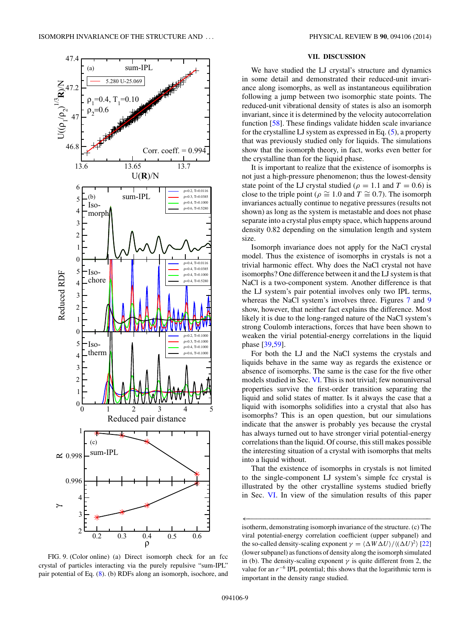<span id="page-8-0"></span>

FIG. 9. (Color online) (a) Direct isomorph check for an fcc crystal of particles interacting via the purely repulsive "sum-IPL" pair potential of Eq. [\(8\)](#page-7-0). (b) RDFs along an isomorph, isochore, and

### **VII. DISCUSSION**

We have studied the LJ crystal's structure and dynamics in some detail and demonstrated their reduced-unit invariance along isomorphs, as well as instantaneous equilibration following a jump between two isomorphic state points. The reduced-unit vibrational density of states is also an isomorph invariant, since it is determined by the velocity autocorrelation function [\[58\]](#page-11-0). These findings validate hidden scale invariance for the crystalline LJ system as expressed in Eq.  $(5)$ , a property that was previously studied only for liquids. The simulations show that the isomorph theory, in fact, works even better for the crystalline than for the liquid phase.

It is important to realize that the existence of isomorphs is not just a high-pressure phenomenon; thus the lowest-density state point of the LJ crystal studied ( $\rho = 1.1$  and  $T = 0.6$ ) is close to the triple point ( $\rho \cong 1.0$  and  $T \cong 0.7$ ). The isomorph invariances actually continue to negative pressures (results not shown) as long as the system is metastable and does not phase separate into a crystal plus empty space, which happens around density 0.82 depending on the simulation length and system size.

Isomorph invariance does not apply for the NaCl crystal model. Thus the existence of isomorphs in crystals is not a trivial harmonic effect. Why does the NaCl crystal not have isomorphs? One difference between it and the LJ system is that NaCl is a two-component system. Another difference is that the LJ system's pair potential involves only two IPL terms, whereas the NaCl system's involves three. Figures [7](#page-6-0) and 9 show, however, that neither fact explains the difference. Most likely it is due to the long-ranged nature of the NaCl system's strong Coulomb interactions, forces that have been shown to weaken the virial potential-energy correlations in the liquid phase [\[39,59\]](#page-11-0).

For both the LJ and the NaCl systems the crystals and liquids behave in the same way as regards the existence or absence of isomorphs. The same is the case for the five other models studied in Sec. [VI.](#page-6-0) This is not trivial; few nonuniversal properties survive the first-order transition separating the liquid and solid states of matter. Is it always the case that a liquid with isomorphs solidifies into a crystal that also has isomorphs? This is an open question, but our simulations indicate that the answer is probably yes because the crystal has always turned out to have stronger virial potential-energy correlations than the liquid. Of course, this still makes possible the interesting situation of a crystal with isomorphs that melts into a liquid without.

That the existence of isomorphs in crystals is not limited to the single-component LJ system's simple fcc crystal is illustrated by the other crystalline systems studied briefly in Sec. [VI.](#page-6-0) In view of the simulation results of this paper

<sup>←&</sup>lt;br>isotherm, demonstrating isomorph invariance of the structure. (c) The viral potential-energy correlation coefficient (upper subpanel) and the so-called density-scaling exponent  $\gamma = \langle \Delta W \Delta U \rangle / \langle (\Delta U)^2 \rangle$  [\[22\]](#page-10-0) (lower subpanel) as functions of density along the isomorph simulated in (b). The density-scaling exponent  $\gamma$  is quite different from 2, the value for an  $r^{-6}$  IPL potential; this shows that the logarithmic term is important in the density range studied.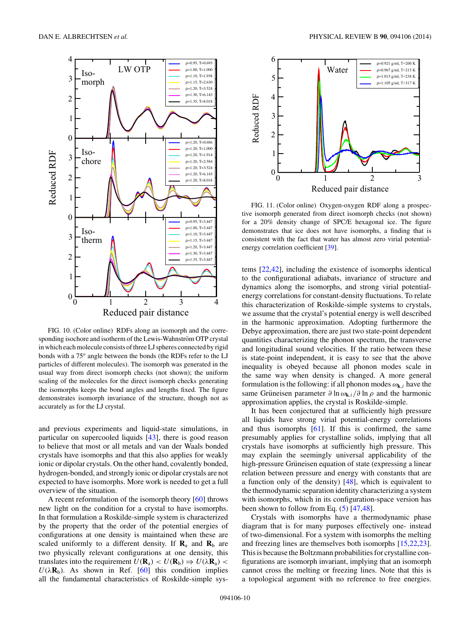<span id="page-9-0"></span>

FIG. 10. (Color online) RDFs along an isomorph and the corresponding isochore and isotherm of the Lewis-Wahnström OTP crystal in which each molecule consists of three LJ spheres connected by rigid bonds with a 75° angle between the bonds (the RDFs refer to the LJ particles of different molecules). The isomorph was generated in the usual way from direct isomorph checks (not shown); the uniform scaling of the molecules for the direct isomorph checks generating the isomorphs keeps the bond angles and lengths fixed. The figure demonstrates isomorph invariance of the structure, though not as accurately as for the LJ crystal.

and previous experiments and liquid-state simulations, in particular on supercooled liquids [\[43\]](#page-11-0), there is good reason to believe that most or all metals and van der Waals bonded crystals have isomorphs and that this also applies for weakly ionic or dipolar crystals. On the other hand, covalently bonded, hydrogen-bonded, and strongly ionic or dipolar crystals are not expected to have isomorphs. More work is needed to get a full overview of the situation.

A recent reformulation of the isomorph theory [\[60\]](#page-11-0) throws new light on the condition for a crystal to have isomorphs. In that formulation a Roskilde-simple system is characterized by the property that the order of the potential energies of configurations at one density is maintained when these are scaled uniformly to a different density. If  $\mathbf{R}_a$  and  $\mathbf{R}_b$  are two physically relevant configurations at one density, this translates into the requirement  $U(\mathbf{R}_a) < U(\mathbf{R}_b) \Rightarrow U(\lambda \mathbf{R}_a) <$  $U(\lambda \mathbf{R}_b)$ . As shown in Ref. [\[60\]](#page-11-0) this condition implies all the fundamental characteristics of Roskilde-simple sys-



FIG. 11. (Color online) Oxygen-oxygen RDF along a prospective isomorph generated from direct isomorph checks (not shown) for a 20% density change of SPC/E hexagonal ice. The figure demonstrates that ice does not have isomorphs, a finding that is consistent with the fact that water has almost zero virial potentialenergy correlation coefficient [\[39\]](#page-11-0).

tems [\[22,](#page-10-0)[42\]](#page-11-0), including the existence of isomorphs identical to the configurational adiabats, invariance of structure and dynamics along the isomorphs, and strong virial potentialenergy correlations for constant-density fluctuations. To relate this characterization of Roskilde-simple systems to crystals, we assume that the crystal's potential energy is well described in the harmonic approximation. Adopting furthermore the Debye approximation, there are just two state-point dependent quantities characterizing the phonon spectrum, the transverse and longitudinal sound velocities. If the ratio between these is state-point independent, it is easy to see that the above inequality is obeyed because all phonon modes scale in the same way when density is changed. A more general formulation is the following: if all phonon modes  $\omega_{\mathbf{k},i}$  have the same Grüneisen parameter  $\partial \ln \omega_{\mathbf{k},i}/\partial \ln \rho$  and the harmonic approximation applies, the crystal is Roskilde-simple.

It has been conjectured that at sufficiently high pressure all liquids have strong virial potential-energy correlations and thus isomorphs [\[61\]](#page-11-0). If this is confirmed, the same presumably applies for crystalline solids, implying that all crystals have isomorphs at sufficiently high pressure. This may explain the seemingly universal applicability of the high-pressure Grüneisen equation of state (expressing a linear relation between pressure and energy with constants that are a function only of the density) [\[48\]](#page-11-0), which is equivalent to the thermodynamic separation identity characterizing a system with isomorphs, which in its configuration-space version has been shown to follow from Eq. [\(5\)](#page-3-0) [\[47,48\]](#page-11-0).

Crystals with isomorphs have a thermodynamic phase diagram that is for many purposes effectively one- instead of two-dimensional. For a system with isomorphs the melting and freezing lines are themselves both isomorphs [\[15,22,23\]](#page-10-0). This is because the Boltzmann probabilities for crystalline configurations are isomorph invariant, implying that an isomorph cannot cross the melting or freezing lines. Note that this is a topological argument with no reference to free energies.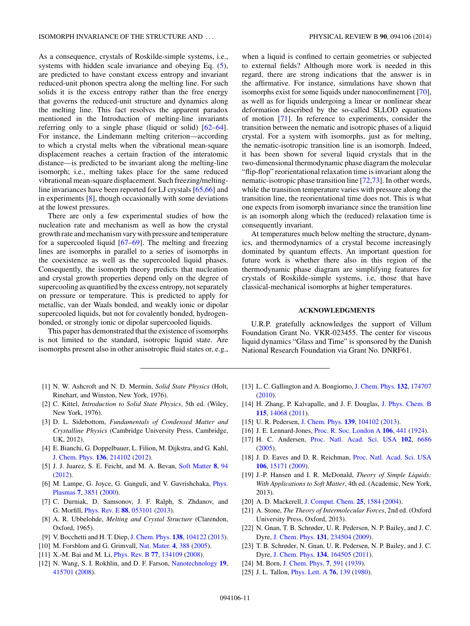<span id="page-10-0"></span>As a consequence, crystals of Roskilde-simple systems, i.e., systems with hidden scale invariance and obeying Eq. [\(5\)](#page-3-0), are predicted to have constant excess entropy and invariant reduced-unit phonon spectra along the melting line. For such solids it is the excess entropy rather than the free energy that governs the reduced-unit structure and dynamics along the melting line. This fact resolves the apparent paradox mentioned in the Introduction of melting-line invariants referring only to a single phase (liquid or solid) [\[62–64\]](#page-11-0). For instance, the Lindemann melting criterion—according to which a crystal melts when the vibrational mean-square displacement reaches a certain fraction of the interatomic distance—is predicted to be invariant along the melting-line isomorph; i.e., melting takes place for the same reduced vibrational mean-square displacement. Such freezing/meltingline invariances have been reported for LJ crystals [\[65,66\]](#page-11-0) and in experiments [8], though occasionally with some deviations at the lowest pressures.

There are only a few experimental studies of how the nucleation rate and mechanism as well as how the crystal growth rate and mechanism vary with pressure and temperature for a supercooled liquid [\[67–69\]](#page-11-0). The melting and freezing lines are isomorphs in parallel to a series of isomorphs in the coexistence as well as the supercooled liquid phases. Consequently, the isomorph theory predicts that nucleation and crystal growth properties depend only on the degree of supercooling as quantified by the excess entropy, not separately on pressure or temperature. This is predicted to apply for metallic, van der Waals bonded, and weakly ionic or dipolar supercooled liquids, but not for covalently bonded, hydrogenbonded, or strongly ionic or dipolar supercooled liquids.

This paper has demonstrated that the existence of isomorphs is not limited to the standard, isotropic liquid state. Are isomorphs present also in other anisotropic fluid states or, e.g., when a liquid is confined to certain geometries or subjected to external fields? Although more work is needed in this regard, there are strong indications that the answer is in the affirmative. For instance, simulations have shown that isomorphs exist for some liquids under nanoconfinement [\[70\]](#page-11-0), as well as for liquids undergoing a linear or nonlinear shear deformation described by the so-called SLLOD equations of motion [\[71\]](#page-11-0). In reference to experiments, consider the transition between the nematic and isotropic phases of a liquid crystal. For a system with isomorphs, just as for melting, the nematic-isotropic transition line is an isomorph. Indeed, it has been shown for several liquid crystals that in the two-dimensional thermodynamic phase diagram the molecular "flip-flop" reorientational relaxation time is invariant along the nematic-isotropic phase transition line [\[72,73\]](#page-11-0). In other words, while the transition temperature varies with pressure along the transition line, the reorientational time does not. This is what one expects from isomorph invariance since the transition line is an isomorph along which the (reduced) relaxation time is consequently invariant.

At temperatures much below melting the structure, dynamics, and thermodynamics of a crystal become increasingly dominated by quantum effects. An important question for future work is whether there also in this region of the thermodynamic phase diagram are simplifying features for crystals of Roskilde-simple systems, i.e, those that have classical-mechanical isomorphs at higher temperatures.

### **ACKNOWLEDGMENTS**

U.R.P. gratefully acknowledges the support of Villum Foundation Grant No. VKR-023455. The center for viscous liquid dynamics "Glass and Time" is sponsored by the Danish National Research Foundation via Grant No. DNRF61.

- [1] N. W. Ashcroft and N. D. Mermin, *Solid State Physics* (Holt, Rinehart, and Winston, New York, 1976).
- [2] C. Kittel, *Introduction to Solid State Physics*, 5th ed. (Wiley, New York, 1976).
- [3] D. L. Sidebottom, *Fundamentals of Condensed Matter and Crystalline Physics* (Cambridge University Press, Cambridge, UK, 2012).
- [4] E. Bianchi, G. Doppelbauer, L. Filion, M. Dijkstra, and G. Kahl, [J. Chem. Phys.](http://dx.doi.org/10.1063/1.4722477) **[136](http://dx.doi.org/10.1063/1.4722477)**, [214102](http://dx.doi.org/10.1063/1.4722477) [\(2012\)](http://dx.doi.org/10.1063/1.4722477).
- [5] J. J. Juarez, S. E. Feicht, and M. A. Bevan, [Soft Matter](http://dx.doi.org/10.1039/c1sm06414b) **[8](http://dx.doi.org/10.1039/c1sm06414b)**, [94](http://dx.doi.org/10.1039/c1sm06414b) [\(2012\)](http://dx.doi.org/10.1039/c1sm06414b).
- [6] [M. Lampe, G. Joyce, G. Ganguli, and V. Gavrishchaka,](http://dx.doi.org/10.1063/1.1288910) *Phys.* Plasmas **[7](http://dx.doi.org/10.1063/1.1288910)**, [3851](http://dx.doi.org/10.1063/1.1288910) [\(2000\)](http://dx.doi.org/10.1063/1.1288910).
- [7] C. Durniak, D. Samsonov, J. F. Ralph, S. Zhdanov, and G. Morfill, [Phys. Rev. E](http://dx.doi.org/10.1103/PhysRevE.88.053101) **[88](http://dx.doi.org/10.1103/PhysRevE.88.053101)**, [053101](http://dx.doi.org/10.1103/PhysRevE.88.053101) [\(2013\)](http://dx.doi.org/10.1103/PhysRevE.88.053101).
- [8] A. R. Ubbelohde, *Melting and Crystal Structure* (Clarendon, Oxford, 1965).
- [9] V. Bocchetti and H. T. Diep,[J. Chem. Phys.](http://dx.doi.org/10.1063/1.4794916) **[138](http://dx.doi.org/10.1063/1.4794916)**, [104122](http://dx.doi.org/10.1063/1.4794916) [\(2013\)](http://dx.doi.org/10.1063/1.4794916).
- [10] M. Forsblom and G. Grimvall, [Nat. Mater.](http://dx.doi.org/10.1038/nmat1375) **[4](http://dx.doi.org/10.1038/nmat1375)**, [388](http://dx.doi.org/10.1038/nmat1375) [\(2005\)](http://dx.doi.org/10.1038/nmat1375).
- [11] X.-M. Bai and M. Li, [Phys. Rev. B](http://dx.doi.org/10.1103/PhysRevB.77.134109) **[77](http://dx.doi.org/10.1103/PhysRevB.77.134109)**, [134109](http://dx.doi.org/10.1103/PhysRevB.77.134109) [\(2008\)](http://dx.doi.org/10.1103/PhysRevB.77.134109).
- [12] N. Wang, S. I. Rokhlin, and D. F. Farson, [Nanotechnology](http://dx.doi.org/10.1088/0957-4484/19/41/415701) **[19](http://dx.doi.org/10.1088/0957-4484/19/41/415701)**, [415701](http://dx.doi.org/10.1088/0957-4484/19/41/415701) [\(2008\)](http://dx.doi.org/10.1088/0957-4484/19/41/415701).
- [13] L. C. Gallington and A. Bongiorno, [J. Chem. Phys.](http://dx.doi.org/10.1063/1.3427247) **[132](http://dx.doi.org/10.1063/1.3427247)**, [174707](http://dx.doi.org/10.1063/1.3427247) [\(2010\)](http://dx.doi.org/10.1063/1.3427247).
- [14] H. Zhang, P. Kalvapalle, and J. F. Douglas, [J. Phys. Chem. B](http://dx.doi.org/10.1021/jp203765x) **[115](http://dx.doi.org/10.1021/jp203765x)**, [14068](http://dx.doi.org/10.1021/jp203765x) [\(2011\)](http://dx.doi.org/10.1021/jp203765x).
- [15] U. R. Pedersen, [J. Chem. Phys.](http://dx.doi.org/10.1063/1.4818747) **[139](http://dx.doi.org/10.1063/1.4818747)**, [104102](http://dx.doi.org/10.1063/1.4818747) [\(2013\)](http://dx.doi.org/10.1063/1.4818747).
- [16] J. E. Lennard-Jones, [Proc. R. Soc. London A](http://dx.doi.org/10.1098/rspa.1924.0081) **[106](http://dx.doi.org/10.1098/rspa.1924.0081)**, [441](http://dx.doi.org/10.1098/rspa.1924.0081) [\(1924\)](http://dx.doi.org/10.1098/rspa.1924.0081).
- [17] H. C. Andersen, [Proc. Natl. Acad. Sci. USA](http://dx.doi.org/10.1073/pnas.0500946102) **[102](http://dx.doi.org/10.1073/pnas.0500946102)**, [6686](http://dx.doi.org/10.1073/pnas.0500946102) [\(2005\)](http://dx.doi.org/10.1073/pnas.0500946102).
- [18] J. D. Eaves and D. R. Reichman, [Proc. Natl. Acad. Sci. USA](http://dx.doi.org/10.1073/pnas.0902888106) **[106](http://dx.doi.org/10.1073/pnas.0902888106)**, [15171](http://dx.doi.org/10.1073/pnas.0902888106) [\(2009\)](http://dx.doi.org/10.1073/pnas.0902888106).
- [19] J.-P. Hansen and I. R. McDonald, *Theory of Simple Liquids: With Applications to Soft Matter*, 4th ed. (Academic, New York, 2013).
- [20] A. D. Mackerell, [J. Comput. Chem.](http://dx.doi.org/10.1002/jcc.20082) **[25](http://dx.doi.org/10.1002/jcc.20082)**, [1584](http://dx.doi.org/10.1002/jcc.20082) [\(2004\)](http://dx.doi.org/10.1002/jcc.20082).
- [21] A. Stone, *The Theory of Intermolecular Forces*, 2nd ed. (Oxford University Press, Oxford, 2013).
- [22] N. Gnan, T. B. Schrøder, U. R. Pedersen, N. P. Bailey, and J. C. Dyre, [J. Chem. Phys.](http://dx.doi.org/10.1063/1.3265957) **[131](http://dx.doi.org/10.1063/1.3265957)**, [234504](http://dx.doi.org/10.1063/1.3265957) [\(2009\)](http://dx.doi.org/10.1063/1.3265957).
- [23] T. B. Schrøder, N. Gnan, U. R. Pedersen, N. P. Bailey, and J. C. Dyre, [J. Chem. Phys.](http://dx.doi.org/10.1063/1.3582900) **[134](http://dx.doi.org/10.1063/1.3582900)**, [164505](http://dx.doi.org/10.1063/1.3582900) [\(2011\)](http://dx.doi.org/10.1063/1.3582900).
- [24] M. Born, [J. Chem. Phys.](http://dx.doi.org/10.1063/1.1750497) **[7](http://dx.doi.org/10.1063/1.1750497)**, [591](http://dx.doi.org/10.1063/1.1750497) [\(1939\)](http://dx.doi.org/10.1063/1.1750497).
- [25] J. L. Tallon, [Phys. Lett. A](http://dx.doi.org/10.1016/0375-9601(80)90594-0) **[76](http://dx.doi.org/10.1016/0375-9601(80)90594-0)**, [139](http://dx.doi.org/10.1016/0375-9601(80)90594-0) [\(1980\)](http://dx.doi.org/10.1016/0375-9601(80)90594-0).